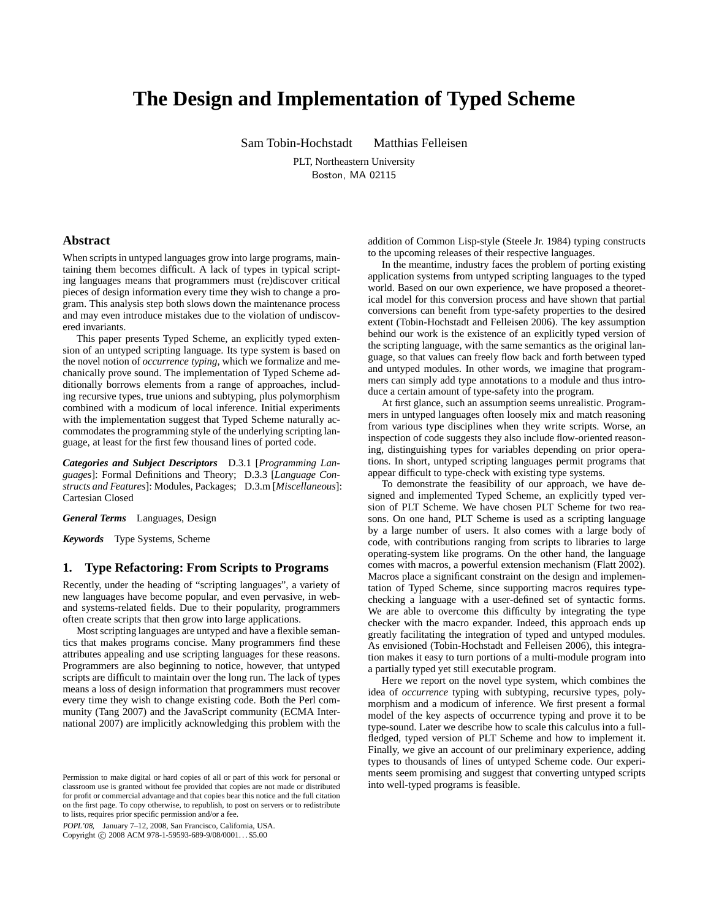# **The Design and Implementation of Typed Scheme**

Sam Tobin-Hochstadt Matthias Felleisen

PLT, Northeastern University Boston, MA 02115

### **Abstract**

When scripts in untyped languages grow into large programs, maintaining them becomes difficult. A lack of types in typical scripting languages means that programmers must (re)discover critical pieces of design information every time they wish to change a program. This analysis step both slows down the maintenance process and may even introduce mistakes due to the violation of undiscovered invariants.

This paper presents Typed Scheme, an explicitly typed extension of an untyped scripting language. Its type system is based on the novel notion of *occurrence typing*, which we formalize and mechanically prove sound. The implementation of Typed Scheme additionally borrows elements from a range of approaches, including recursive types, true unions and subtyping, plus polymorphism combined with a modicum of local inference. Initial experiments with the implementation suggest that Typed Scheme naturally accommodates the programming style of the underlying scripting language, at least for the first few thousand lines of ported code.

*Categories and Subject Descriptors* D.3.1 [*Programming Languages*]: Formal Definitions and Theory; D.3.3 [*Language Constructs and Features*]: Modules, Packages; D.3.m [*Miscellaneous*]: Cartesian Closed

*General Terms* Languages, Design

*Keywords* Type Systems, Scheme

# **1. Type Refactoring: From Scripts to Programs**

Recently, under the heading of "scripting languages", a variety of new languages have become popular, and even pervasive, in weband systems-related fields. Due to their popularity, programmers often create scripts that then grow into large applications.

Most scripting languages are untyped and have a flexible semantics that makes programs concise. Many programmers find these attributes appealing and use scripting languages for these reasons. Programmers are also beginning to notice, however, that untyped scripts are difficult to maintain over the long run. The lack of types means a loss of design information that programmers must recover every time they wish to change existing code. Both the Perl community (Tang 2007) and the JavaScript community (ECMA International 2007) are implicitly acknowledging this problem with the

POPL'08, January 7–12, 2008, San Francisco, California, USA. Copyright © 2008 ACM 978-1-59593-689-9/08/0001... \$5.00

addition of Common Lisp-style (Steele Jr. 1984) typing constructs to the upcoming releases of their respective languages.

In the meantime, industry faces the problem of porting existing application systems from untyped scripting languages to the typed world. Based on our own experience, we have proposed a theoretical model for this conversion process and have shown that partial conversions can benefit from type-safety properties to the desired extent (Tobin-Hochstadt and Felleisen 2006). The key assumption behind our work is the existence of an explicitly typed version of the scripting language, with the same semantics as the original language, so that values can freely flow back and forth between typed and untyped modules. In other words, we imagine that programmers can simply add type annotations to a module and thus introduce a certain amount of type-safety into the program.

At first glance, such an assumption seems unrealistic. Programmers in untyped languages often loosely mix and match reasoning from various type disciplines when they write scripts. Worse, an inspection of code suggests they also include flow-oriented reasoning, distinguishing types for variables depending on prior operations. In short, untyped scripting languages permit programs that appear difficult to type-check with existing type systems.

To demonstrate the feasibility of our approach, we have designed and implemented Typed Scheme, an explicitly typed version of PLT Scheme. We have chosen PLT Scheme for two reasons. On one hand, PLT Scheme is used as a scripting language by a large number of users. It also comes with a large body of code, with contributions ranging from scripts to libraries to large operating-system like programs. On the other hand, the language comes with macros, a powerful extension mechanism (Flatt 2002). Macros place a significant constraint on the design and implementation of Typed Scheme, since supporting macros requires typechecking a language with a user-defined set of syntactic forms. We are able to overcome this difficulty by integrating the type checker with the macro expander. Indeed, this approach ends up greatly facilitating the integration of typed and untyped modules. As envisioned (Tobin-Hochstadt and Felleisen 2006), this integration makes it easy to turn portions of a multi-module program into a partially typed yet still executable program.

Here we report on the novel type system, which combines the idea of *occurrence* typing with subtyping, recursive types, polymorphism and a modicum of inference. We first present a formal model of the key aspects of occurrence typing and prove it to be type-sound. Later we describe how to scale this calculus into a fullfledged, typed version of PLT Scheme and how to implement it. Finally, we give an account of our preliminary experience, adding types to thousands of lines of untyped Scheme code. Our experiments seem promising and suggest that converting untyped scripts into well-typed programs is feasible.

Permission to make digital or hard copies of all or part of this work for personal or classroom use is granted without fee provided that copies are not made or distributed for profit or commercial advantage and that copies bear this notice and the full citation on the first page. To copy otherwise, to republish, to post on servers or to redistribute to lists, requires prior specific permission and/or a fee.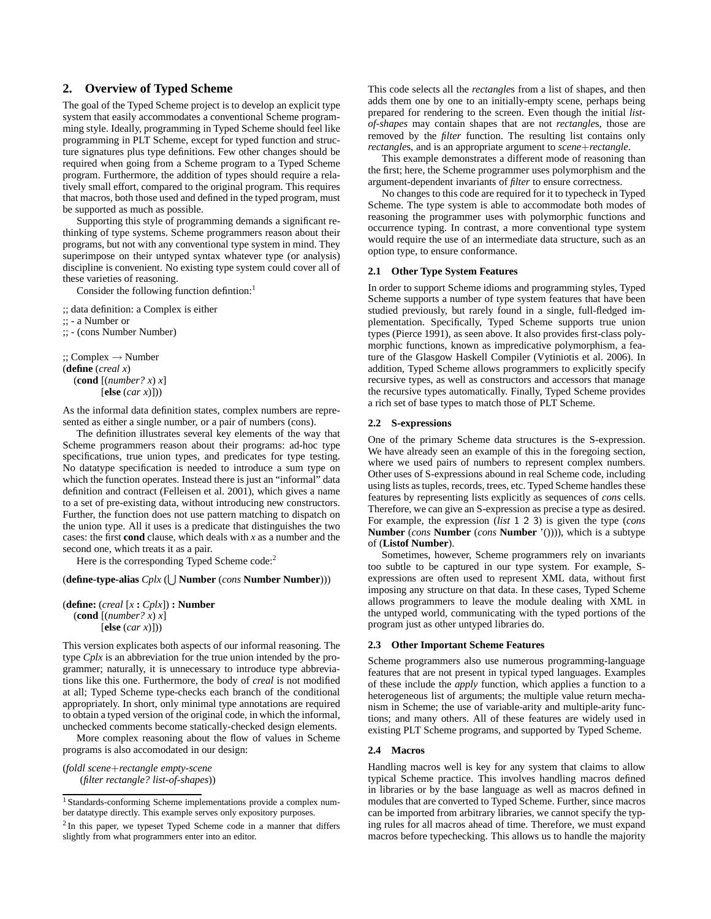# **2. Overview of Typed Scheme**

The goal of the Typed Scheme project is to develop an explicit type system that easily accommodates a conventional Scheme programming style. Ideally, programming in Typed Scheme should feel like programming in PLT Scheme, except for typed function and structure signatures plus type definitions. Few other changes should be required when going from a Scheme program to a Typed Scheme program. Furthermore, the addition of types should require a relatively small effort, compared to the original program. This requires that macros, both those used and defined in the typed program, must be supported as much as possible.

Supporting this style of programming demands a significant rethinking of type systems. Scheme programmers reason about their programs, but not with any conventional type system in mind. They superimpose on their untyped syntax whatever type (or analysis) discipline is convenient. No existing type system could cover all of these varieties of reasoning.

Consider the following function defintion: $<sup>1</sup>$ </sup>

;; data definition: a Complex is either

;; - a Number or

;; - (cons Number Number)

;; Complex → Number

(**define** (*creal x*)

(**cond** [(*number? x*) *x*] [**else** (*car x*)]))

As the informal data definition states, complex numbers are represented as either a single number, or a pair of numbers (cons).

The definition illustrates several key elements of the way that Scheme programmers reason about their programs: ad-hoc type specifications, true union types, and predicates for type testing. No datatype specification is needed to introduce a sum type on which the function operates. Instead there is just an "informal" data definition and contract (Felleisen et al. 2001), which gives a name to a set of pre-existing data, without introducing new constructors. Further, the function does not use pattern matching to dispatch on the union type. All it uses is a predicate that distinguishes the two cases: the first **cond** clause, which deals with *x* as a number and the second one, which treats it as a pair.

Here is the corresponding Typed Scheme code:<sup>2</sup>

(**define-type-alias** *Cplx* ( S **Number** (*cons* **Number Number**)))

(**define:** (*creal* [*x* **:** *Cplx*]) **: Number** (**cond** [(*number? x*) *x*] [**else** (*car x*)]))

This version explicates both aspects of our informal reasoning. The type *Cplx* is an abbreviation for the true union intended by the programmer; naturally, it is unnecessary to introduce type abbreviations like this one. Furthermore, the body of *creal* is not modified at all; Typed Scheme type-checks each branch of the conditional appropriately. In short, only minimal type annotations are required to obtain a typed version of the original code, in which the informal, unchecked comments become statically-checked design elements.

More complex reasoning about the flow of values in Scheme programs is also accomodated in our design:

(*foldl scene*+*rectangle empty-scene* (*filter rectangle? list-of-shapes*))

This code selects all the *rectangle*s from a list of shapes, and then adds them one by one to an initially-empty scene, perhaps being prepared for rendering to the screen. Even though the initial *listof-shapes* may contain shapes that are not *rectangle*s, those are removed by the *filter* function. The resulting list contains only *rectangle*s, and is an appropriate argument to *scene*+*rectangle*.

This example demonstrates a different mode of reasoning than the first; here, the Scheme programmer uses polymorphism and the argument-dependent invariants of *filter* to ensure correctness.

No changes to this code are required for it to typecheck in Typed Scheme. The type system is able to accommodate both modes of reasoning the programmer uses with polymorphic functions and occurrence typing. In contrast, a more conventional type system would require the use of an intermediate data structure, such as an option type, to ensure conformance.

# **2.1 Other Type System Features**

In order to support Scheme idioms and programming styles, Typed Scheme supports a number of type system features that have been studied previously, but rarely found in a single, full-fledged implementation. Specifically, Typed Scheme supports true union types (Pierce 1991), as seen above. It also provides first-class polymorphic functions, known as impredicative polymorphism, a feature of the Glasgow Haskell Compiler (Vytiniotis et al. 2006). In addition, Typed Scheme allows programmers to explicitly specify recursive types, as well as constructors and accessors that manage the recursive types automatically. Finally, Typed Scheme provides a rich set of base types to match those of PLT Scheme.

#### **2.2 S-expressions**

One of the primary Scheme data structures is the S-expression. We have already seen an example of this in the foregoing section, where we used pairs of numbers to represent complex numbers. Other uses of S-expressions abound in real Scheme code, including using lists as tuples, records, trees, etc. Typed Scheme handles these features by representing lists explicitly as sequences of *cons* cells. Therefore, we can give an S-expression as precise a type as desired. For example, the expression (*list* 1 2 3) is given the type (*cons* **Number** (*cons* **Number** (*cons* **Number** '()))), which is a subtype of (**Listof Number**).

Sometimes, however, Scheme programmers rely on invariants too subtle to be captured in our type system. For example, Sexpressions are often used to represent XML data, without first imposing any structure on that data. In these cases, Typed Scheme allows programmers to leave the module dealing with XML in the untyped world, communicating with the typed portions of the program just as other untyped libraries do.

#### **2.3 Other Important Scheme Features**

Scheme programmers also use numerous programming-language features that are not present in typical typed languages. Examples of these include the *apply* function, which applies a function to a heterogeneous list of arguments; the multiple value return mechanism in Scheme; the use of variable-arity and multiple-arity functions; and many others. All of these features are widely used in existing PLT Scheme programs, and supported by Typed Scheme.

#### **2.4 Macros**

Handling macros well is key for any system that claims to allow typical Scheme practice. This involves handling macros defined in libraries or by the base language as well as macros defined in modules that are converted to Typed Scheme. Further, since macros can be imported from arbitrary libraries, we cannot specify the typing rules for all macros ahead of time. Therefore, we must expand macros before typechecking. This allows us to handle the majority

<sup>&</sup>lt;sup>1</sup> Standards-conforming Scheme implementations provide a complex number datatype directly. This example serves only expository purposes.

 $2$ In this paper, we typeset Typed Scheme code in a manner that differs slightly from what programmers enter into an editor.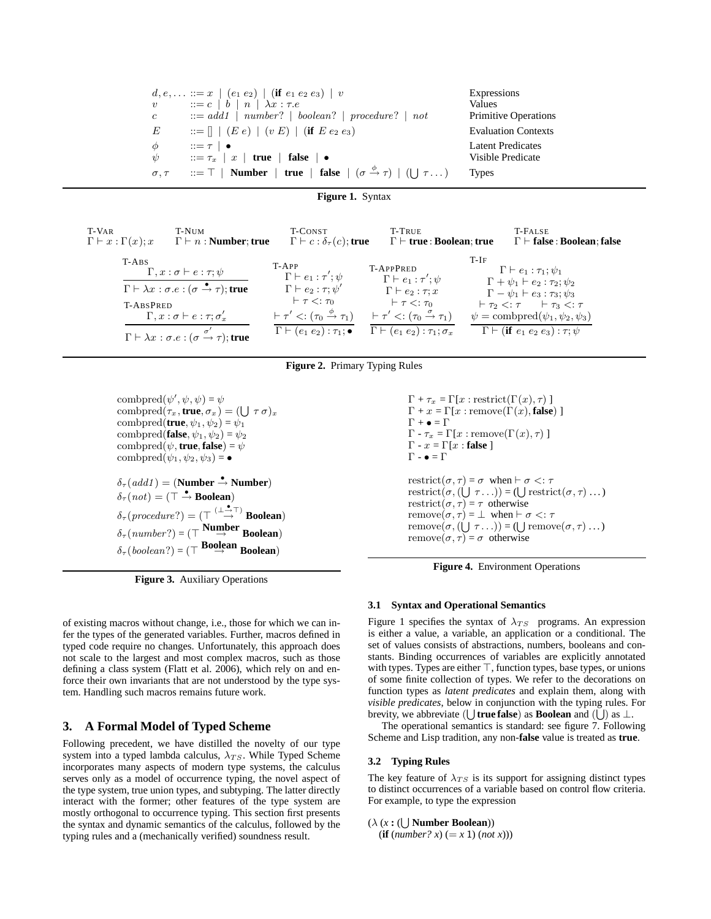|                   | $d, e, \ldots ::= x \mid (e_1 e_2) \mid (\text{if } e_1 e_2 e_3) \mid v$                                          | Expressions                 |
|-------------------|-------------------------------------------------------------------------------------------------------------------|-----------------------------|
| $\boldsymbol{v}$  | $ ::= c   b   n   \lambda x : \tau.e$                                                                             | Values                      |
| $\mathfrak{c}$    | $ ::= add1 \mid number? \mid boolean? \mid procedure? \mid not$                                                   | <b>Primitive Operations</b> |
| E                 | $ ::= \lceil \rceil \mid (E e) \mid (v E) \rceil \text{ (if } E e_2 e_3)$                                         | <b>Evaluation Contexts</b>  |
| $\phi$            | $::=\tau \mid \bullet$                                                                                            | <b>Latent Predicates</b>    |
| $\psi$            | $\overline{z} := \tau_x \mid x \mid$ true   false   •                                                             | Visible Predicate           |
| $\sigma$ , $\tau$ | $\therefore$ = $\top$   Number   true   false   $(\sigma \stackrel{\phi}{\rightarrow} \tau)$   ([] $\tau \dots$ ) | <b>Types</b>                |

| <b>Figure 1.</b> Syntax |  |
|-------------------------|--|
|-------------------------|--|

| T-VAR                        | T-NUM                                                                                                                                                                                                                                                                             | T-CONST                                                                                                                                                                                                           | <b>T-TRUE</b>                                                                                                                                                                                                                                  |      | <b>T-FALSE</b>                                                                                                                                                                                                                                                                                                   |
|------------------------------|-----------------------------------------------------------------------------------------------------------------------------------------------------------------------------------------------------------------------------------------------------------------------------------|-------------------------------------------------------------------------------------------------------------------------------------------------------------------------------------------------------------------|------------------------------------------------------------------------------------------------------------------------------------------------------------------------------------------------------------------------------------------------|------|------------------------------------------------------------------------------------------------------------------------------------------------------------------------------------------------------------------------------------------------------------------------------------------------------------------|
| $\Gamma\vdash x:\Gamma(x);x$ | $\Gamma \vdash n :$ Number: true                                                                                                                                                                                                                                                  | $\Gamma \vdash c : \delta_{\tau}(c);$ true                                                                                                                                                                        | $\Gamma \vdash$ true : Boolean; true                                                                                                                                                                                                           |      | $\Gamma \vdash$ false : Boolean; false                                                                                                                                                                                                                                                                           |
| T-ABS<br><b>T-ABSPRED</b>    | $\Gamma, x : \sigma \vdash e : \tau; \psi$<br>$\Gamma \vdash \lambda x : \sigma.e : (\sigma \stackrel{\bullet}{\rightarrow} \tau);$ true<br>$\Gamma, x : \sigma \vdash e : \tau; \sigma'_{x}$<br>$\Gamma \vdash \lambda x : \sigma.e : (\sigma \xrightarrow{\sigma'} \tau);$ true | T-APP<br>$\Gamma\vdash e_1:\tau';\psi$<br>$\Gamma\vdash e_2:\tau;\psi'$<br>$\vdash \tau \lt: : \tau_0$<br>$\vdash \tau' \lt: (\tau_0 \xrightarrow{\phi} \tau_1)$<br>$\Gamma \vdash (e_1 \ e_2) : \tau_1; \bullet$ | <b>T-APPPRED</b><br>$\Gamma \vdash e_1 : \tau'; \psi$<br>$\Gamma \vdash e_2 : \tau : x$<br>$\vdash \tau \lt: : \tau_0$<br>$\vdash \tau' \lt: (\tau_0 \stackrel{\sigma}{\rightarrow} \tau_1)$<br>$\Gamma \vdash (e_1 \ e_2) : \tau_1; \sigma_x$ | T-IF | $\Gamma \vdash e_1 : \tau_1; \psi_1$<br>$\Gamma + \psi_1 \vdash e_2 : \tau_2; \psi_2$<br>$\Gamma - \psi_1 \vdash e_3 : \tau_3; \psi_3$<br>$\vdash \tau_2 \leq \tau$ $\vdash \tau_3 \leq \tau$<br>$\psi = \text{combred}(\psi_1, \psi_2, \psi_3)$<br>$\Gamma \vdash (\textbf{if} \ e_1 \ e_2 \ e_3) : \tau; \psi$ |



combpred $(\psi', \psi, \psi) = \psi$ combpred $(\tau_x, \mathbf{true}, \sigma_x) = (\bigcup \tau \sigma)_x$ combpred(**true**,  $\psi_1, \psi_2$ ) =  $\psi_1$ combpred(**false**,  $\psi_1, \psi_2$ ) =  $\psi_2$ combpred( $\psi$ , **true**, **false**) =  $\psi$ combpred $(\psi_1, \psi_2, \psi_3) = \bullet$  $\delta_{\tau}(\text{add1}) = (\text{Number} \overset{\bullet}{\rightarrow} \text{Number})$  $\delta_{\tau}(not) = (\top \stackrel{\bullet}{\rightarrow} \textbf{Boolean})$  $\delta_{\tau}(procedure?) = (\top \overset{(\perp \stackrel{\bullet}{\to} \top)}{\to} \textbf{Boolean})$  $\delta_{\tau}(number?) = (\top^{\text{Number}} \text{Boolean})$  $\delta_{\tau}(\text{boolean?}) = (\top^{\text{Boolean}} \text{Boolean})$ 

**Figure 3.** Auxiliary Operations

of existing macros without change, i.e., those for which we can infer the types of the generated variables. Further, macros defined in typed code require no changes. Unfortunately, this approach does not scale to the largest and most complex macros, such as those defining a class system (Flatt et al. 2006), which rely on and enforce their own invariants that are not understood by the type system. Handling such macros remains future work.

# **3. A Formal Model of Typed Scheme**

Following precedent, we have distilled the novelty of our type system into a typed lambda calculus,  $\lambda_{TS}$ . While Typed Scheme incorporates many aspects of modern type systems, the calculus serves only as a model of occurrence typing, the novel aspect of the type system, true union types, and subtyping. The latter directly interact with the former; other features of the type system are mostly orthogonal to occurrence typing. This section first presents the syntax and dynamic semantics of the calculus, followed by the typing rules and a (mechanically verified) soundness result.

$$
\Gamma + \tau_x = \Gamma[x : \text{restrict}(\Gamma(x), \tau)]
$$
\n
$$
\Gamma + x = \Gamma[x : \text{remove}(\Gamma(x), \text{false})]
$$
\n
$$
\Gamma \cdot \bullet = \Gamma
$$
\n
$$
\Gamma \cdot \tau_x = \Gamma[x : \text{remove}(\Gamma(x), \tau)]
$$
\n
$$
\Gamma \cdot x = \Gamma[x : \text{false}]
$$
\n
$$
\Gamma \cdot \bullet = \Gamma
$$
\n
$$
\text{restrict}(\sigma, \tau) = \sigma \text{ when } \vdash \sigma <: \tau
$$
\n
$$
\text{restrict}(\sigma, (\bigcup \tau ...)) = (\bigcup \text{restrict}(\sigma, \tau) ...)
$$
\n
$$
\text{restrict}(\sigma, \tau) = \tau \text{ otherwise}
$$
\n
$$
\text{remove}(\sigma, \tau) = \bot \text{ when } \vdash \sigma <: \tau
$$
\n
$$
\text{remove}(\sigma, (\bigcup \tau ...)) = (\bigcup \text{remove}(\sigma, \tau) ...)
$$
\n
$$
\text{remove}(\sigma, \tau) = \sigma \text{ otherwise}
$$

**Figure 4.** Environment Operations

#### **3.1 Syntax and Operational Semantics**

Figure 1 specifies the syntax of  $\lambda_{TS}$  programs. An expression is either a value, a variable, an application or a conditional. The set of values consists of abstractions, numbers, booleans and constants. Binding occurrences of variables are explicitly annotated with types. Types are either ⊤, function types, base types, or unions of some finite collection of types. We refer to the decorations on function types as *latent predicates* and explain them, along with *visible predicates*, below in conjunction with the typing rules. For brevity, we abbreviate (∪ **true false**) as **Boolean** and (∪) as ⊥.

The operational semantics is standard: see figure 7. Following Scheme and Lisp tradition, any non-**false** value is treated as **true**.

#### **3.2 Typing Rules**

The key feature of  $\lambda_{TS}$  is its support for assigning distinct types to distinct occurrences of a variable based on control flow criteria. For example, to type the expression

 $(\lambda(x: (\bigcup \text{Number Boolean}))$ 

 $(i\mathbf{f}(\textit{number? x}) (= x 1)(\textit{not} x))$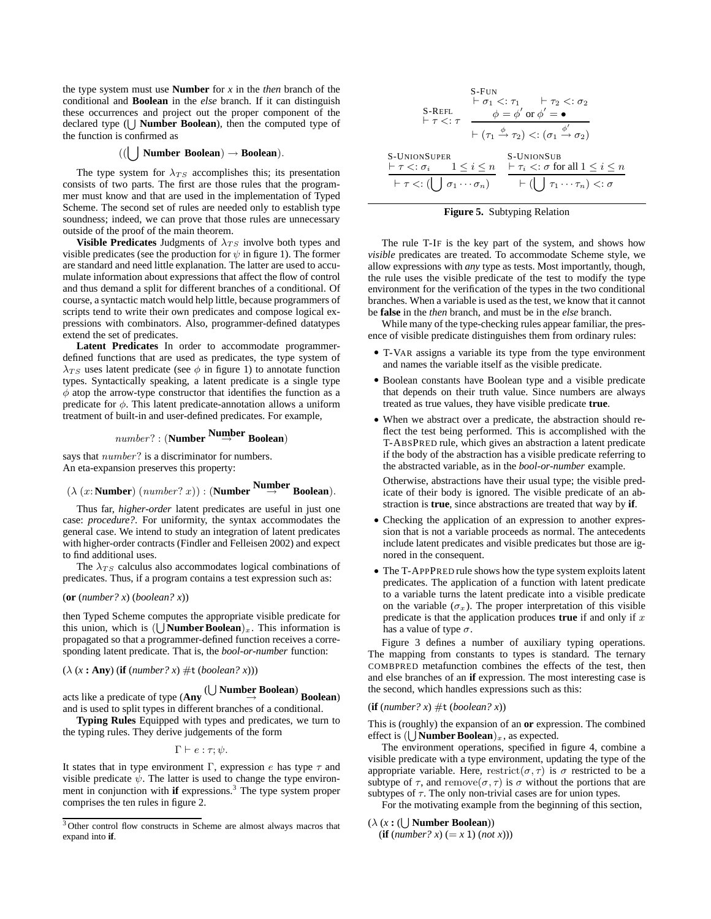the type system must use **Number** for *x* in the *then* branch of the conditional and **Boolean** in the *else* branch. If it can distinguish these occurrences and project out the proper component of the declared type ( $\bigcup$  **Number Boolean**), then the computed type of the function is confirmed as

# $((\Box)$  **Number Boolean**)  $\rightarrow$  **Boolean**).

The type system for  $\lambda_{TS}$  accomplishes this; its presentation consists of two parts. The first are those rules that the programmer must know and that are used in the implementation of Typed Scheme. The second set of rules are needed only to establish type soundness; indeed, we can prove that those rules are unnecessary outside of the proof of the main theorem.

**Visible Predicates** Judgments of  $\lambda_{TS}$  involve both types and visible predicates (see the production for  $\psi$  in figure 1). The former are standard and need little explanation. The latter are used to accumulate information about expressions that affect the flow of control and thus demand a split for different branches of a conditional. Of course, a syntactic match would help little, because programmers of scripts tend to write their own predicates and compose logical expressions with combinators. Also, programmer-defined datatypes extend the set of predicates.

**Latent Predicates** In order to accommodate programmerdefined functions that are used as predicates, the type system of  $\lambda_{TS}$  uses latent predicate (see  $\phi$  in figure 1) to annotate function types. Syntactically speaking, a latent predicate is a single type  $\phi$  atop the arrow-type constructor that identifies the function as a predicate for  $\phi$ . This latent predicate-annotation allows a uniform treatment of built-in and user-defined predicates. For example,

# $number?$ : (**Number**  $\overset{\textbf{Number}}{\rightarrow} \textbf{Boolean}$ )

says that *number*? is a discriminator for numbers.

An eta-expansion preserves this property:

$$
(\lambda (x:Number) (number? x)) : (Number \nNumber Boolean).
$$

Thus far, *higher-order* latent predicates are useful in just one case: *procedure?*. For uniformity, the syntax accommodates the general case. We intend to study an integration of latent predicates with higher-order contracts (Findler and Felleisen 2002) and expect to find additional uses.

The  $\lambda_{TS}$  calculus also accommodates logical combinations of predicates. Thus, if a program contains a test expression such as:

#### (**or** (*number? x*) (*boolean? x*))

then Typed Scheme computes the appropriate visible predicate for this union, which is  $(\bigcup \textbf{Number Boolean})_x$ . This information is propagated so that a programmer-defined function receives a corresponding latent predicate. That is, the *bool-or-number* function:

 $(\lambda(x : \text{Any}) (\text{if } (number? x) \#t (boolean? x)))$ 

# acts like a predicate of type (**Any** ∪ **Number Boolean**) **Boolean**) and is used to split types in different branches of a conditional.

**Typing Rules** Equipped with types and predicates, we turn to the typing rules. They derive judgements of the form

$$
\Gamma \vdash e : \tau; \psi.
$$

It states that in type environment Γ, expression e has type τ and visible predicate  $\bar{\psi}$ . The latter is used to change the type environment in conjunction with **if** expressions.<sup>3</sup> The type system proper comprises the ten rules in figure 2.

| $S-REFL$<br>$\vdash \tau \lt: : \tau$ -                 | $S-FUN$<br>$\vdash \sigma_1 \leq \vdots \tau_1 \qquad \vdash \tau_2 \leq \vdots \sigma_2$<br>$\phi = \phi'$ or $\phi' = \bullet$<br>$\vdash (\tau_1 \xrightarrow{\phi} \tau_2) <: (\sigma_1 \xrightarrow{\phi'} \sigma_2)$ |
|---------------------------------------------------------|----------------------------------------------------------------------------------------------------------------------------------------------------------------------------------------------------------------------------|
| <b>S-UNIONSUPER</b>                                     | <b>S-UNIONSUB</b><br>$\vdash \tau \lt: \sigma_i$ $1 \leq i \leq n$ $\vdash \tau_i \lt: \sigma$ for all $1 \leq i \leq n$                                                                                                   |
| $\vdash \tau \lt: (\bigsqcup \sigma_1 \cdots \sigma_n)$ | $\vdash (\bigcup \tau_1 \cdots \tau_n) < \vdots$                                                                                                                                                                           |



The rule T-IF is the key part of the system, and shows how *visible* predicates are treated. To accommodate Scheme style, we allow expressions with *any* type as tests. Most importantly, though, the rule uses the visible predicate of the test to modify the type environment for the verification of the types in the two conditional branches. When a variable is used as the test, we know that it cannot be **false** in the *then* branch, and must be in the *else* branch.

While many of the type-checking rules appear familiar, the presence of visible predicate distinguishes them from ordinary rules:

- T-VAR assigns a variable its type from the type environment and names the variable itself as the visible predicate.
- Boolean constants have Boolean type and a visible predicate that depends on their truth value. Since numbers are always treated as true values, they have visible predicate **true**.
- When we abstract over a predicate, the abstraction should reflect the test being performed. This is accomplished with the T-ABSPRED rule, which gives an abstraction a latent predicate if the body of the abstraction has a visible predicate referring to the abstracted variable, as in the *bool-or-number* example.

Otherwise, abstractions have their usual type; the visible predicate of their body is ignored. The visible predicate of an abstraction is **true**, since abstractions are treated that way by **if**.

- Checking the application of an expression to another expression that is not a variable proceeds as normal. The antecedents include latent predicates and visible predicates but those are ignored in the consequent.
- The T-APPPRED rule shows how the type system exploits latent predicates. The application of a function with latent predicate to a variable turns the latent predicate into a visible predicate on the variable  $(\sigma_x)$ . The proper interpretation of this visible predicate is that the application produces **true** if and only if  $x$ has a value of type  $\sigma$ .

Figure 3 defines a number of auxiliary typing operations. The mapping from constants to types is standard. The ternary COMBPRED metafunction combines the effects of the test, then and else branches of an **if** expression. The most interesting case is the second, which handles expressions such as this:

#### $(i\mathbf{f}(\textit{number? x}) \# t(\textit{boolean? x}))$

This is (roughly) the expansion of an **or** expression. The combined effect is  $(\bigcup$  **Number Boolean**)<sub>x</sub>, as expected.

The environment operations, specified in figure 4, combine a visible predicate with a type environment, updating the type of the appropriate variable. Here, restrict( $\sigma$ ,  $\tau$ ) is  $\sigma$  restricted to be a subtype of  $\tau$ , and remove $(\sigma, \tau)$  is  $\sigma$  without the portions that are subtypes of  $\tau$ . The only non-trivial cases are for union types.

For the motivating example from the beginning of this section,

#### $(\lambda(x: (\bigcup \text{Number Boolean}))$

 $(i\mathbf{f}(\textit{number? x}) (= x 1)(\textit{not} x))$ 

<sup>3</sup> Other control flow constructs in Scheme are almost always macros that expand into **if**.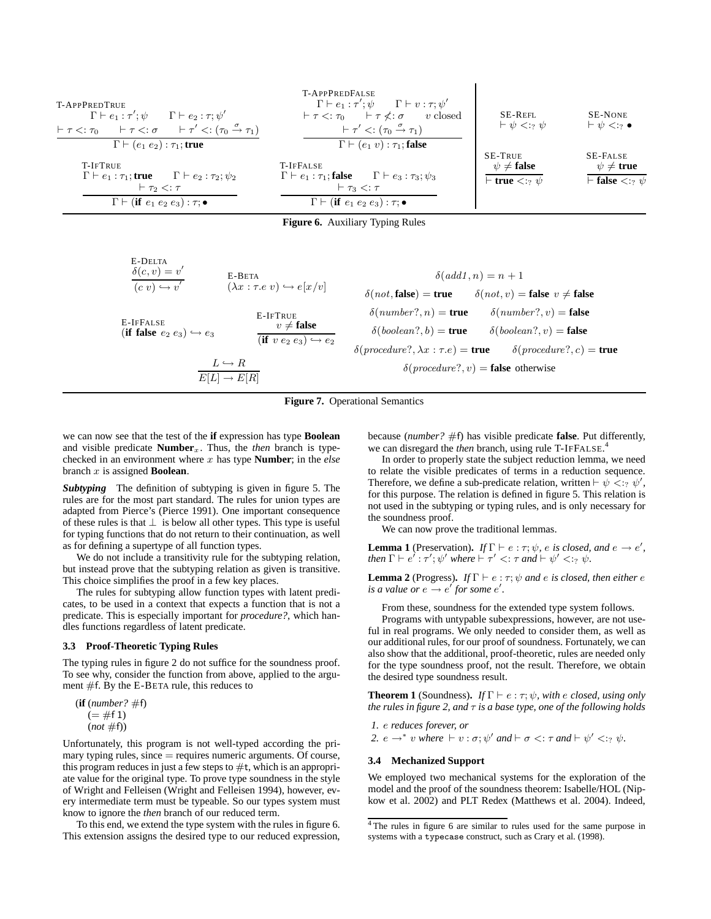| T-APPPREDTRUE                                                                                                | <b>T-APPPREDFALSE</b><br>$\Gamma \vdash e_1 : \tau'; \psi \qquad \Gamma \vdash v : \tau; \psi'$         |                                     |                                     |
|--------------------------------------------------------------------------------------------------------------|---------------------------------------------------------------------------------------------------------|-------------------------------------|-------------------------------------|
| $\Gamma \vdash e_1 : \tau'; \psi \qquad \Gamma \vdash e_2 : \tau; \psi'$                                     | $\vdash \tau \lt: \tau_0$ $\vdash \tau \not\leq \tau$ v closed                                          | <b>SE-REFL</b>                      | <b>SE-NONE</b>                      |
| $\vdash \tau \lt: \tau_0$ $\vdash \tau \lt: \sigma$ $\vdash \tau' \lt: (\tau_0 \xrightarrow{\sigma} \tau_1)$ | $\vdash \tau' \lt: (\tau_0 \stackrel{\sigma}{\rightarrow} \tau_1)$                                      | $\vdash \psi \leq : \varphi$        | $\vdash \psi \leq_{:?} \bullet$     |
| $\Gamma \vdash (e_1 \ e_2) : \tau_1;$ true                                                                   | $\Gamma \vdash (e_1 v) : \tau_1;$ false                                                                 |                                     |                                     |
| T-IFTRUE                                                                                                     | T-IFFALSE                                                                                               | <b>SE-TRUE</b><br>$\psi \neq$ false | <b>SE-FALSE</b><br>$\psi \neq$ true |
| $\Gamma \vdash e_1 : \tau_1;$ true $\Gamma \vdash e_2 : \tau_2; \psi_2$<br>$\vdash \tau_2 \lt: : \tau$       | $\Gamma \vdash e_1 : \tau_1;$ false $\Gamma \vdash e_3 : \tau_3; \psi_3$<br>$\vdash \tau_3 \lt: : \tau$ | $\vdash$ true $\lt$ :? $\psi$       | $\vdash$ false $\lt$ :? $\psi$      |
| $\Gamma \vdash (\textbf{if} \ e_1 \ e_2 \ e_3) : \tau; \bullet$                                              | $\Gamma \vdash (\textbf{if} \ e_1 \ e_2 \ e_3) : \tau; \bullet)$                                        |                                     |                                     |

**Figure 6.** Auxiliary Typing Rules

| E-DELTA<br>$\delta(c,v) = v'$<br>$(c\ v) \hookrightarrow v'$ | E-BETA<br>$(\lambda x : \tau \cdot e \ v) \hookrightarrow e[x/v]$          | $\delta(\text{add1}, n) = n + 1$<br>$\delta (not, \textbf{false}) = \textbf{true}$<br>$\delta (not, v)$ = false $v \neq$ false                                                                                                                                |  |  |
|--------------------------------------------------------------|----------------------------------------------------------------------------|---------------------------------------------------------------------------------------------------------------------------------------------------------------------------------------------------------------------------------------------------------------|--|--|
| E-IFFALSE<br>(if false $e_2 e_3$ ) $\hookrightarrow e_3$     | E-IFTRUE<br>$v \neq$ false<br>$(\text{if } v e_2 e_3) \hookrightarrow e_2$ | $\delta(number?, n) = \text{true}$<br>$\delta(number?, v) = \textbf{false}$<br>$\delta(boolean?, b) = \text{true}$<br>$\delta (boolean?, v) = false$<br>$\delta$ (procedure?, $\lambda x : \tau.e$ ) = true<br>$\delta(\mathit{procedure}?, c) = \text{true}$ |  |  |
| $L \hookrightarrow R$<br>$E[L] \rightarrow E[R]$             |                                                                            | $\delta(\text{procedure}?, v) = \text{false}$ otherwise                                                                                                                                                                                                       |  |  |



we can now see that the test of the **if** expression has type **Boolean** and visible predicate **Number**<sub>x</sub>. Thus, the *then* branch is typechecked in an environment where x has type **Number**; in the *else* branch x is assigned **Boolean**.

*Subtyping* The definition of subtyping is given in figure 5. The rules are for the most part standard. The rules for union types are adapted from Pierce's (Pierce 1991). One important consequence of these rules is that  $\perp$  is below all other types. This type is useful for typing functions that do not return to their continuation, as well as for defining a supertype of all function types.

We do not include a transitivity rule for the subtyping relation, but instead prove that the subtyping relation as given is transitive. This choice simplifies the proof in a few key places.

The rules for subtyping allow function types with latent predicates, to be used in a context that expects a function that is not a predicate. This is especially important for *procedure?*, which handles functions regardless of latent predicate.

#### **3.3 Proof-Theoretic Typing Rules**

The typing rules in figure 2 do not suffice for the soundness proof. To see why, consider the function from above, applied to the argument #f. By the E-BETA rule, this reduces to

 $(i\mathbf{f}(\mathit{number?}\#f))$  $(=\#f 1)$  $(not #f)$ 

Unfortunately, this program is not well-typed according the primary typing rules, since  $=$  requires numeric arguments. Of course, this program reduces in just a few steps to  $\#t$ , which is an appropriate value for the original type. To prove type soundness in the style of Wright and Felleisen (Wright and Felleisen 1994), however, every intermediate term must be typeable. So our types system must know to ignore the *then* branch of our reduced term.

To this end, we extend the type system with the rules in figure 6. This extension assigns the desired type to our reduced expression, because (*number?* #f) has visible predicate **false**. Put differently, we can disregard the *then* branch, using rule T-IFFALSE. 4

In order to properly state the subject reduction lemma, we need to relate the visible predicates of terms in a reduction sequence. Therefore, we define a sub-predicate relation, written  $\vdash \psi \leq_{\vdots} \psi'$ , for this purpose. The relation is defined in figure 5. This relation is not used in the subtyping or typing rules, and is only necessary for the soundness proof.

We can now prove the traditional lemmas.

 $\mathbf{I}$ 

**Lemma 1** (Preservation). *If*  $\Gamma \vdash e : \tau; \psi$ , *e is closed, and*  $e \rightarrow e'$ , *then*  $\Gamma \vdash e': \tau'; \psi'$  *where*  $\vdash \tau' \lt: \tau$  *and*  $\vdash \psi' \lt: \vdots$  *γ*.

**Lemma 2** (Progress). *If*  $\Gamma \vdash e : \tau$ ;  $\psi$  *and e is closed, then either e is a value or*  $e \rightarrow e'$  *for some e'.* 

From these, soundness for the extended type system follows.

Programs with untypable subexpressions, however, are not useful in real programs. We only needed to consider them, as well as our additional rules, for our proof of soundness. Fortunately, we can also show that the additional, proof-theoretic, rules are needed only for the type soundness proof, not the result. Therefore, we obtain the desired type soundness result.

**Theorem 1** (Soundness). *If*  $\Gamma \vdash e : \tau; \psi$ , with e *closed, using only the rules in figure 2, and* τ *is a base type, one of the following holds*

```
1. e reduces forever, or
```
2. 
$$
e \rightarrow^* v
$$
 where  $\vdash v : \sigma; \psi'$  and  $\vdash \sigma <: \tau$  and  $\vdash \psi' <: \neg \psi$ .

#### **3.4 Mechanized Support**

We employed two mechanical systems for the exploration of the model and the proof of the soundness theorem: Isabelle/HOL (Nipkow et al. 2002) and PLT Redex (Matthews et al. 2004). Indeed,

<sup>4</sup> The rules in figure 6 are similar to rules used for the same purpose in systems with a typecase construct, such as Crary et al. (1998).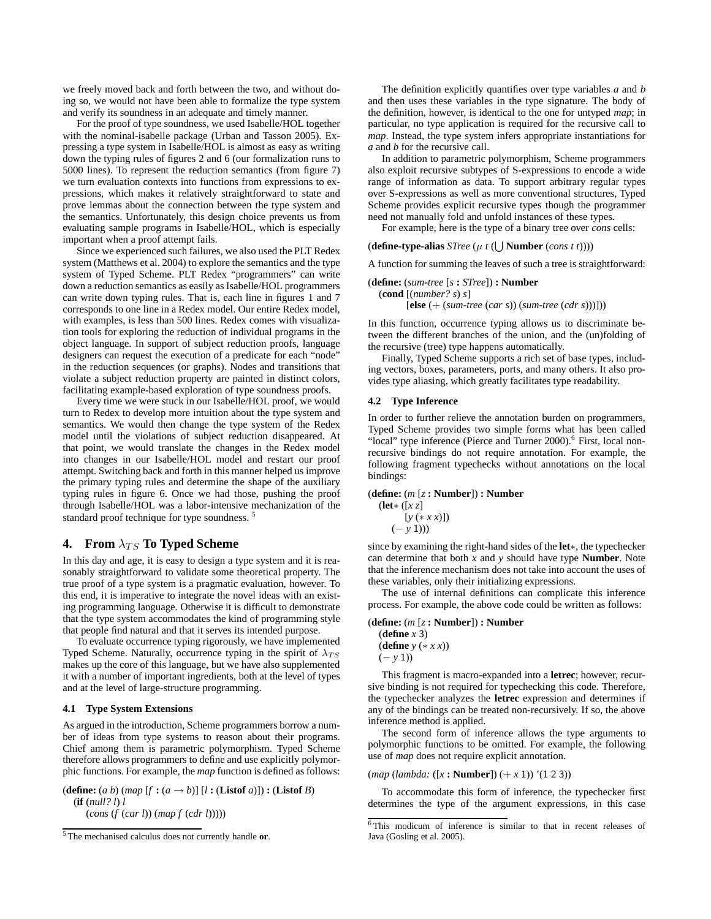we freely moved back and forth between the two, and without doing so, we would not have been able to formalize the type system and verify its soundness in an adequate and timely manner.

For the proof of type soundness, we used Isabelle/HOL together with the nominal-isabelle package (Urban and Tasson 2005). Expressing a type system in Isabelle/HOL is almost as easy as writing down the typing rules of figures 2 and 6 (our formalization runs to 5000 lines). To represent the reduction semantics (from figure 7) we turn evaluation contexts into functions from expressions to expressions, which makes it relatively straightforward to state and prove lemmas about the connection between the type system and the semantics. Unfortunately, this design choice prevents us from evaluating sample programs in Isabelle/HOL, which is especially important when a proof attempt fails.

Since we experienced such failures, we also used the PLT Redex system (Matthews et al. 2004) to explore the semantics and the type system of Typed Scheme. PLT Redex "programmers" can write down a reduction semantics as easily as Isabelle/HOL programmers can write down typing rules. That is, each line in figures 1 and 7 corresponds to one line in a Redex model. Our entire Redex model, with examples, is less than 500 lines. Redex comes with visualization tools for exploring the reduction of individual programs in the object language. In support of subject reduction proofs, language designers can request the execution of a predicate for each "node" in the reduction sequences (or graphs). Nodes and transitions that violate a subject reduction property are painted in distinct colors, facilitating example-based exploration of type soundness proofs.

Every time we were stuck in our Isabelle/HOL proof, we would turn to Redex to develop more intuition about the type system and semantics. We would then change the type system of the Redex model until the violations of subject reduction disappeared. At that point, we would translate the changes in the Redex model into changes in our Isabelle/HOL model and restart our proof attempt. Switching back and forth in this manner helped us improve the primary typing rules and determine the shape of the auxiliary typing rules in figure 6. Once we had those, pushing the proof through Isabelle/HOL was a labor-intensive mechanization of the standard proof technique for type soundness.<sup>5</sup>

# **4.** From  $\lambda_{TS}$  To Typed Scheme

In this day and age, it is easy to design a type system and it is reasonably straightforward to validate some theoretical property. The true proof of a type system is a pragmatic evaluation, however. To this end, it is imperative to integrate the novel ideas with an existing programming language. Otherwise it is difficult to demonstrate that the type system accommodates the kind of programming style that people find natural and that it serves its intended purpose.

To evaluate occurrence typing rigorously, we have implemented Typed Scheme. Naturally, occurrence typing in the spirit of  $\lambda_{TS}$ makes up the core of this language, but we have also supplemented it with a number of important ingredients, both at the level of types and at the level of large-structure programming.

#### **4.1 Type System Extensions**

As argued in the introduction, Scheme programmers borrow a number of ideas from type systems to reason about their programs. Chief among them is parametric polymorphism. Typed Scheme therefore allows programmers to define and use explicitly polymorphic functions. For example, the *map* function is defined as follows:

(**define:** (*a b*) (*map* [*f* **:** (*a* → *b*)] [*l* **:** (**Listof** *a*)]) **:** (**Listof** *B*) (**if** (*null? l*) *l* (*cons* (*f* (*car l*)) (*map f* (*cdr l*)))))

The definition explicitly quantifies over type variables *a* and *b* and then uses these variables in the type signature. The body of the definition, however, is identical to the one for untyped *map*; in particular, no type application is required for the recursive call to *map*. Instead, the type system infers appropriate instantiations for *a* and *b* for the recursive call.

In addition to parametric polymorphism, Scheme programmers also exploit recursive subtypes of S-expressions to encode a wide range of information as data. To support arbitrary regular types over S-expressions as well as more conventional structures, Typed Scheme provides explicit recursive types though the programmer need not manually fold and unfold instances of these types.

For example, here is the type of a binary tree over *cons* cells:

 $(\text{define-type-alias } STree \ (\mu \ t \ (\bigcup \text{Number } (cons \ t \ t))))$ 

A function for summing the leaves of such a tree is straightforward:

(**define:** (*sum-tree* [*s* **:** *STree*]) **: Number** (**cond** [(*number? s*) *s*] [**else** (+ (*sum-tree* (*car s*)) (*sum-tree* (*cdr s*)))]))

In this function, occurrence typing allows us to discriminate between the different branches of the union, and the (un)folding of the recursive (tree) type happens automatically.

Finally, Typed Scheme supports a rich set of base types, including vectors, boxes, parameters, ports, and many others. It also provides type aliasing, which greatly facilitates type readability.

#### **4.2 Type Inference**

In order to further relieve the annotation burden on programmers, Typed Scheme provides two simple forms what has been called "local" type inference (Pierce and Turner 2000).<sup>6</sup> First, local nonrecursive bindings do not require annotation. For example, the following fragment typechecks without annotations on the local bindings:

(**define:** (*m* [*z* **: Number**]) **: Number**

(**let**∗ ([*x z*] [*y* (∗ *x x*)]) (− *y* 1)))

since by examining the right-hand sides of the **let**∗, the typechecker can determine that both *x* and *y* should have type **Number**. Note that the inference mechanism does not take into account the uses of these variables, only their initializing expressions.

The use of internal definitions can complicate this inference process. For example, the above code could be written as follows:

(**define:** (*m* [*z* **: Number**]) **: Number**

(**define** *x* 3) (**define** *y* (∗ *x x*)) (− *y* 1))

This fragment is macro-expanded into a **letrec**; however, recursive binding is not required for typechecking this code. Therefore, the typechecker analyzes the **letrec** expression and determines if any of the bindings can be treated non-recursively. If so, the above inference method is applied.

The second form of inference allows the type arguments to polymorphic functions to be omitted. For example, the following use of *map* does not require explicit annotation.

(*map* (*lambda:* ([*x* **: Number**]) (+ *x* 1)) '(1 2 3))

To accommodate this form of inference, the typechecker first determines the type of the argument expressions, in this case

<sup>5</sup> The mechanised calculus does not currently handle **or**.

<sup>6</sup> This modicum of inference is similar to that in recent releases of Java (Gosling et al. 2005).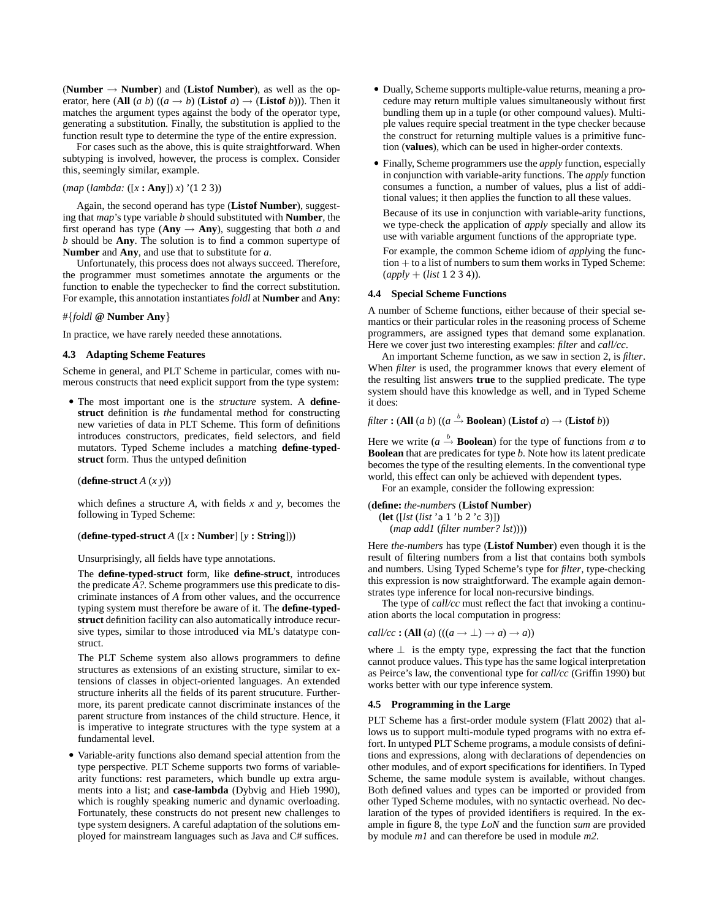(**Number**  $\rightarrow$  **Number**) and (**Listof Number**), as well as the operator, here (All (*a b*) ((*a*  $\rightarrow$  *b*) (Listof *a*)  $\rightarrow$  (Listof *b*))). Then it matches the argument types against the body of the operator type, generating a substitution. Finally, the substitution is applied to the function result type to determine the type of the entire expression.

For cases such as the above, this is quite straightforward. When subtyping is involved, however, the process is complex. Consider this, seemingly similar, example.

#### (*map* (*lambda:* ([*x* **: Any**]) *x*) '(1 2 3))

Again, the second operand has type (**Listof Number**), suggesting that *map*'s type variable *b* should substituted with **Number**, the first operand has type ( $\textbf{Any} \rightarrow \textbf{Any}$ ), suggesting that both *a* and *b* should be **Any**. The solution is to find a common supertype of **Number** and **Any**, and use that to substitute for *a*.

Unfortunately, this process does not always succeed. Therefore, the programmer must sometimes annotate the arguments or the function to enable the typechecker to find the correct substitution. For example, this annotation instantiates *foldl* at **Number** and **Any**:

#### #{*foldl* **@ Number Any**}

In practice, we have rarely needed these annotations.

#### **4.3 Adapting Scheme Features**

Scheme in general, and PLT Scheme in particular, comes with numerous constructs that need explicit support from the type system:

• The most important one is the *structure* system. A **definestruct** definition is *the* fundamental method for constructing new varieties of data in PLT Scheme. This form of definitions introduces constructors, predicates, field selectors, and field mutators. Typed Scheme includes a matching **define-typedstruct** form. Thus the untyped definition

#### (**define-struct** *A* (*x y*))

which defines a structure *A*, with fields *x* and *y*, becomes the following in Typed Scheme:

#### (**define-typed-struct** *A* ([*x* **: Number**] [*y* **: String**]))

Unsurprisingly, all fields have type annotations.

The **define-typed-struct** form, like **define-struct**, introduces the predicate *A?*. Scheme programmers use this predicate to discriminate instances of *A* from other values, and the occurrence typing system must therefore be aware of it. The **define-typedstruct** definition facility can also automatically introduce recursive types, similar to those introduced via ML's datatype construct.

The PLT Scheme system also allows programmers to define structures as extensions of an existing structure, similar to extensions of classes in object-oriented languages. An extended structure inherits all the fields of its parent strucuture. Furthermore, its parent predicate cannot discriminate instances of the parent structure from instances of the child structure. Hence, it is imperative to integrate structures with the type system at a fundamental level.

• Variable-arity functions also demand special attention from the type perspective. PLT Scheme supports two forms of variablearity functions: rest parameters, which bundle up extra arguments into a list; and **case-lambda** (Dybvig and Hieb 1990), which is roughly speaking numeric and dynamic overloading. Fortunately, these constructs do not present new challenges to type system designers. A careful adaptation of the solutions employed for mainstream languages such as Java and C# suffices.

- Dually, Scheme supports multiple-value returns, meaning a procedure may return multiple values simultaneously without first bundling them up in a tuple (or other compound values). Multiple values require special treatment in the type checker because the construct for returning multiple values is a primitive function (**values**), which can be used in higher-order contexts.
- Finally, Scheme programmers use the *apply* function, especially in conjunction with variable-arity functions. The *apply* function consumes a function, a number of values, plus a list of additional values; it then applies the function to all these values.

Because of its use in conjunction with variable-arity functions, we type-check the application of *apply* specially and allow its use with variable argument functions of the appropriate type.

For example, the common Scheme idiom of *apply*ing the func- $\text{tion} + \text{to}$  a list of numbers to sum them works in Typed Scheme: (*apply* + (*list* 1 2 3 4)).

#### **4.4 Special Scheme Functions**

A number of Scheme functions, either because of their special semantics or their particular roles in the reasoning process of Scheme programmers, are assigned types that demand some explanation. Here we cover just two interesting examples: *filter* and *call/cc*.

An important Scheme function, as we saw in section 2, is *filter*. When *filter* is used, the programmer knows that every element of the resulting list answers **true** to the supplied predicate. The type system should have this knowledge as well, and in Typed Scheme it does:

# *filter* **:** (All (*a b*) ((*a*  $\stackrel{b}{\rightarrow}$  **Boolean**) (**Listof** *a*)  $\rightarrow$  (**Listof** *b*))

Here we write  $(a \stackrel{b}{\rightarrow} \textbf{Boolean})$  for the type of functions from *a* to **Boolean** that are predicates for type *b*. Note how its latent predicate becomes the type of the resulting elements. In the conventional type world, this effect can only be achieved with dependent types.

For an example, consider the following expression:

#### (**define:** *the-numbers* (**Listof Number**)

(**let** ([*lst* (*list* 'a 1 'b 2 'c 3)])

(*map add1* (*filter number? lst*))))

Here *the-numbers* has type (**Listof Number**) even though it is the result of filtering numbers from a list that contains both symbols and numbers. Using Typed Scheme's type for *filter*, type-checking this expression is now straightforward. The example again demonstrates type inference for local non-recursive bindings.

The type of *call/cc* must reflect the fact that invoking a continuation aborts the local computation in progress:

#### *call/cc* **:** (**All** (*a*) ((( $a \rightarrow \bot$ )  $\rightarrow$  *a*)  $\rightarrow$  *a*))

where  $\perp$  is the empty type, expressing the fact that the function cannot produce values. This type has the same logical interpretation as Peirce's law, the conventional type for *call/cc* (Griffin 1990) but works better with our type inference system.

#### **4.5 Programming in the Large**

PLT Scheme has a first-order module system (Flatt 2002) that allows us to support multi-module typed programs with no extra effort. In untyped PLT Scheme programs, a module consists of definitions and expressions, along with declarations of dependencies on other modules, and of export specifications for identifiers. In Typed Scheme, the same module system is available, without changes. Both defined values and types can be imported or provided from other Typed Scheme modules, with no syntactic overhead. No declaration of the types of provided identifiers is required. In the example in figure 8, the type *LoN* and the function *sum* are provided by module *m1* and can therefore be used in module *m2*.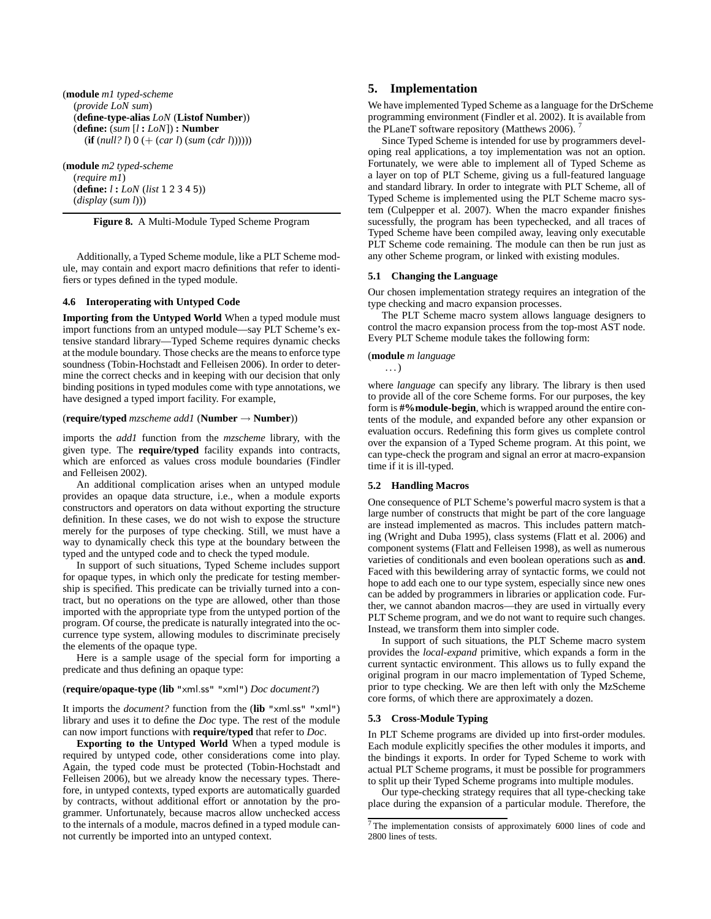```
(module m1 typed-scheme
(provide LoN sum)
(define-type-alias LoN (Listof Number))
(define: (sum [l : LoN]) : Number
  (i\mathbf{f}(null? \ l) \ 0 \ (+ \ (car \ l) \ (sum \ (cdr \ l))))))
```
(**module** *m2 typed-scheme* (*require m1*) (**define:** *l* **:** *LoN* (*list* 1 2 3 4 5)) (*display* (*sum l*)))

**Figure 8.** A Multi-Module Typed Scheme Program

Additionally, a Typed Scheme module, like a PLT Scheme module, may contain and export macro definitions that refer to identifiers or types defined in the typed module.

#### **4.6 Interoperating with Untyped Code**

**Importing from the Untyped World** When a typed module must import functions from an untyped module—say PLT Scheme's extensive standard library—Typed Scheme requires dynamic checks at the module boundary. Those checks are the means to enforce type soundness (Tobin-Hochstadt and Felleisen 2006). In order to determine the correct checks and in keeping with our decision that only binding positions in typed modules come with type annotations, we have designed a typed import facility. For example,

#### (**require/typed** *mzscheme add1* (**Number** → **Number**))

imports the *add1* function from the *mzscheme* library, with the given type. The **require/typed** facility expands into contracts, which are enforced as values cross module boundaries (Findler and Felleisen 2002).

An additional complication arises when an untyped module provides an opaque data structure, i.e., when a module exports constructors and operators on data without exporting the structure definition. In these cases, we do not wish to expose the structure merely for the purposes of type checking. Still, we must have a way to dynamically check this type at the boundary between the typed and the untyped code and to check the typed module.

In support of such situations, Typed Scheme includes support for opaque types, in which only the predicate for testing membership is specified. This predicate can be trivially turned into a contract, but no operations on the type are allowed, other than those imported with the appropriate type from the untyped portion of the program. Of course, the predicate is naturally integrated into the occurrence type system, allowing modules to discriminate precisely the elements of the opaque type.

Here is a sample usage of the special form for importing a predicate and thus defining an opaque type:

#### (**require/opaque-type** (**lib** "xml.ss" "xml") *Doc document?*)

It imports the *document?* function from the (**lib** "xml.ss" "xml") library and uses it to define the *Doc* type. The rest of the module can now import functions with **require/typed** that refer to *Doc*.

**Exporting to the Untyped World** When a typed module is required by untyped code, other considerations come into play. Again, the typed code must be protected (Tobin-Hochstadt and Felleisen 2006), but we already know the necessary types. Therefore, in untyped contexts, typed exports are automatically guarded by contracts, without additional effort or annotation by the programmer. Unfortunately, because macros allow unchecked access to the internals of a module, macros defined in a typed module cannot currently be imported into an untyped context.

# **5. Implementation**

We have implemented Typed Scheme as a language for the DrScheme programming environment (Findler et al. 2002). It is available from the PLaneT software repository (Matthews 2006).

Since Typed Scheme is intended for use by programmers developing real applications, a toy implementation was not an option. Fortunately, we were able to implement all of Typed Scheme as a layer on top of PLT Scheme, giving us a full-featured language and standard library. In order to integrate with PLT Scheme, all of Typed Scheme is implemented using the PLT Scheme macro system (Culpepper et al. 2007). When the macro expander finishes sucessfully, the program has been typechecked, and all traces of Typed Scheme have been compiled away, leaving only executable PLT Scheme code remaining. The module can then be run just as any other Scheme program, or linked with existing modules.

#### **5.1 Changing the Language**

Our chosen implementation strategy requires an integration of the type checking and macro expansion processes.

The PLT Scheme macro system allows language designers to control the macro expansion process from the top-most AST node. Every PLT Scheme module takes the following form:

#### (**module** *m language*

. . . )

where *language* can specify any library. The library is then used to provide all of the core Scheme forms. For our purposes, the key form is **#%module-begin**, which is wrapped around the entire contents of the module, and expanded before any other expansion or evaluation occurs. Redefining this form gives us complete control over the expansion of a Typed Scheme program. At this point, we can type-check the program and signal an error at macro-expansion time if it is ill-typed.

#### **5.2 Handling Macros**

One consequence of PLT Scheme's powerful macro system is that a large number of constructs that might be part of the core language are instead implemented as macros. This includes pattern matching (Wright and Duba 1995), class systems (Flatt et al. 2006) and component systems (Flatt and Felleisen 1998), as well as numerous varieties of conditionals and even boolean operations such as **and**. Faced with this bewildering array of syntactic forms, we could not hope to add each one to our type system, especially since new ones can be added by programmers in libraries or application code. Further, we cannot abandon macros—they are used in virtually every PLT Scheme program, and we do not want to require such changes. Instead, we transform them into simpler code.

In support of such situations, the PLT Scheme macro system provides the *local-expand* primitive, which expands a form in the current syntactic environment. This allows us to fully expand the original program in our macro implementation of Typed Scheme, prior to type checking. We are then left with only the MzScheme core forms, of which there are approximately a dozen.

#### **5.3 Cross-Module Typing**

In PLT Scheme programs are divided up into first-order modules. Each module explicitly specifies the other modules it imports, and the bindings it exports. In order for Typed Scheme to work with actual PLT Scheme programs, it must be possible for programmers to split up their Typed Scheme programs into multiple modules.

Our type-checking strategy requires that all type-checking take place during the expansion of a particular module. Therefore, the

<sup>7</sup> The implementation consists of approximately 6000 lines of code and 2800 lines of tests.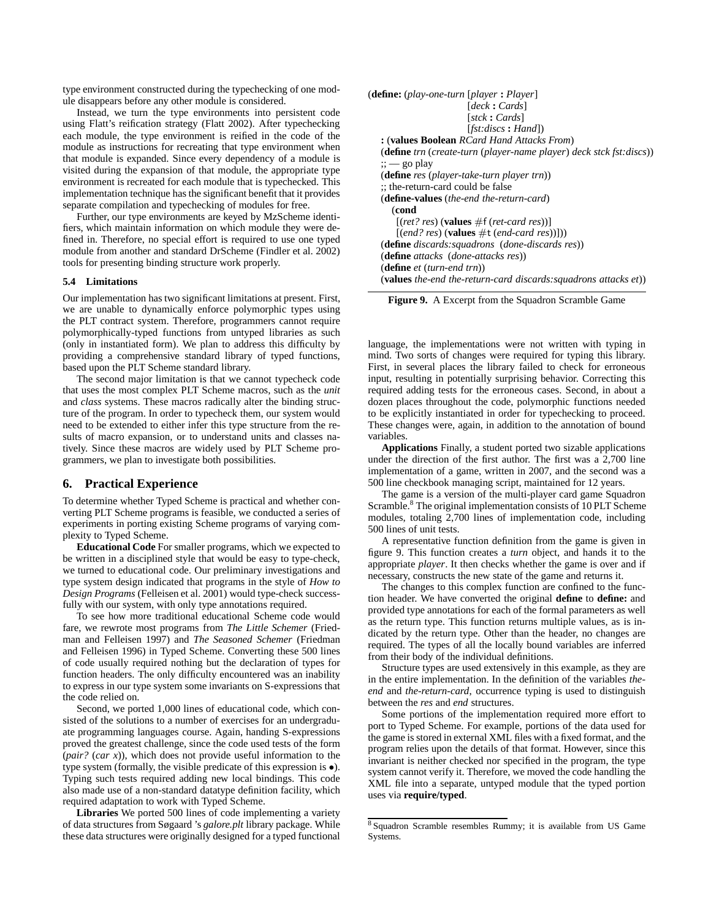type environment constructed during the typechecking of one module disappears before any other module is considered.

Instead, we turn the type environments into persistent code using Flatt's reification strategy (Flatt 2002). After typechecking each module, the type environment is reified in the code of the module as instructions for recreating that type environment when that module is expanded. Since every dependency of a module is visited during the expansion of that module, the appropriate type environment is recreated for each module that is typechecked. This implementation technique has the significant benefit that it provides separate compilation and typechecking of modules for free.

Further, our type environments are keyed by MzScheme identifiers, which maintain information on which module they were defined in. Therefore, no special effort is required to use one typed module from another and standard DrScheme (Findler et al. 2002) tools for presenting binding structure work properly.

#### **5.4 Limitations**

Our implementation has two significant limitations at present. First, we are unable to dynamically enforce polymorphic types using the PLT contract system. Therefore, programmers cannot require polymorphically-typed functions from untyped libraries as such (only in instantiated form). We plan to address this difficulty by providing a comprehensive standard library of typed functions, based upon the PLT Scheme standard library.

The second major limitation is that we cannot typecheck code that uses the most complex PLT Scheme macros, such as the *unit* and *class* systems. These macros radically alter the binding structure of the program. In order to typecheck them, our system would need to be extended to either infer this type structure from the results of macro expansion, or to understand units and classes natively. Since these macros are widely used by PLT Scheme programmers, we plan to investigate both possibilities.

### **6. Practical Experience**

To determine whether Typed Scheme is practical and whether converting PLT Scheme programs is feasible, we conducted a series of experiments in porting existing Scheme programs of varying complexity to Typed Scheme.

**Educational Code** For smaller programs, which we expected to be written in a disciplined style that would be easy to type-check, we turned to educational code. Our preliminary investigations and type system design indicated that programs in the style of *How to Design Programs* (Felleisen et al. 2001) would type-check successfully with our system, with only type annotations required.

To see how more traditional educational Scheme code would fare, we rewrote most programs from *The Little Schemer* (Friedman and Felleisen 1997) and *The Seasoned Schemer* (Friedman and Felleisen 1996) in Typed Scheme. Converting these 500 lines of code usually required nothing but the declaration of types for function headers. The only difficulty encountered was an inability to express in our type system some invariants on S-expressions that the code relied on.

Second, we ported 1,000 lines of educational code, which consisted of the solutions to a number of exercises for an undergraduate programming languages course. Again, handing S-expressions proved the greatest challenge, since the code used tests of the form (*pair?* (*car x*)), which does not provide useful information to the type system (formally, the visible predicate of this expression is •). Typing such tests required adding new local bindings. This code also made use of a non-standard datatype definition facility, which required adaptation to work with Typed Scheme.

**Libraries** We ported 500 lines of code implementing a variety of data structures from Søgaard 's *galore.plt* library package. While these data structures were originally designed for a typed functional

**Figure 9.** A Excerpt from the Squadron Scramble Game

language, the implementations were not written with typing in mind. Two sorts of changes were required for typing this library. First, in several places the library failed to check for erroneous input, resulting in potentially surprising behavior. Correcting this required adding tests for the erroneous cases. Second, in about a dozen places throughout the code, polymorphic functions needed to be explicitly instantiated in order for typechecking to proceed. These changes were, again, in addition to the annotation of bound variables.

**Applications** Finally, a student ported two sizable applications under the direction of the first author. The first was a 2,700 line implementation of a game, written in 2007, and the second was a 500 line checkbook managing script, maintained for 12 years.

The game is a version of the multi-player card game Squadron Scramble.<sup>8</sup> The original implementation consists of 10 PLT Scheme modules, totaling 2,700 lines of implementation code, including 500 lines of unit tests.

A representative function definition from the game is given in figure 9. This function creates a *turn* object, and hands it to the appropriate *player*. It then checks whether the game is over and if necessary, constructs the new state of the game and returns it.

The changes to this complex function are confined to the function header. We have converted the original **define** to **define:** and provided type annotations for each of the formal parameters as well as the return type. This function returns multiple values, as is indicated by the return type. Other than the header, no changes are required. The types of all the locally bound variables are inferred from their body of the individual definitions.

Structure types are used extensively in this example, as they are in the entire implementation. In the definition of the variables *theend* and *the-return-card*, occurrence typing is used to distinguish between the *res* and *end* structures.

Some portions of the implementation required more effort to port to Typed Scheme. For example, portions of the data used for the game is stored in external XML files with a fixed format, and the program relies upon the details of that format. However, since this invariant is neither checked nor specified in the program, the type system cannot verify it. Therefore, we moved the code handling the XML file into a separate, untyped module that the typed portion uses via **require/typed**.

<sup>8</sup> Squadron Scramble resembles Rummy; it is available from US Game Systems.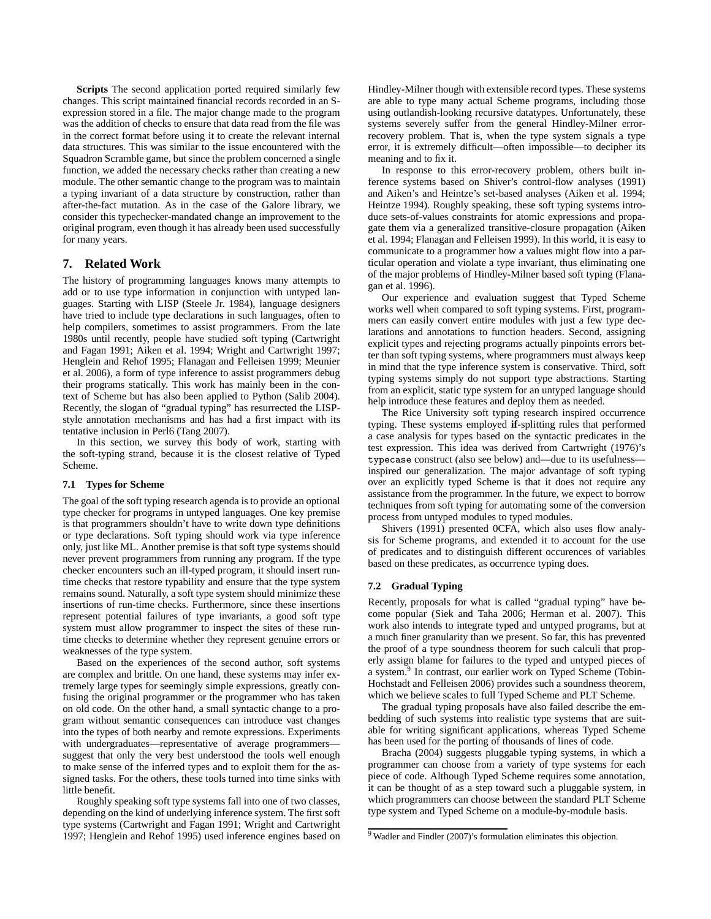**Scripts** The second application ported required similarly few changes. This script maintained financial records recorded in an Sexpression stored in a file. The major change made to the program was the addition of checks to ensure that data read from the file was in the correct format before using it to create the relevant internal data structures. This was similar to the issue encountered with the Squadron Scramble game, but since the problem concerned a single function, we added the necessary checks rather than creating a new module. The other semantic change to the program was to maintain a typing invariant of a data structure by construction, rather than after-the-fact mutation. As in the case of the Galore library, we consider this typechecker-mandated change an improvement to the original program, even though it has already been used successfully for many years.

### **7. Related Work**

The history of programming languages knows many attempts to add or to use type information in conjunction with untyped languages. Starting with LISP (Steele Jr. 1984), language designers have tried to include type declarations in such languages, often to help compilers, sometimes to assist programmers. From the late 1980s until recently, people have studied soft typing (Cartwright and Fagan 1991; Aiken et al. 1994; Wright and Cartwright 1997; Henglein and Rehof 1995; Flanagan and Felleisen 1999; Meunier et al. 2006), a form of type inference to assist programmers debug their programs statically. This work has mainly been in the context of Scheme but has also been applied to Python (Salib 2004). Recently, the slogan of "gradual typing" has resurrected the LISPstyle annotation mechanisms and has had a first impact with its tentative inclusion in Perl6 (Tang 2007).

In this section, we survey this body of work, starting with the soft-typing strand, because it is the closest relative of Typed Scheme.

#### **7.1 Types for Scheme**

The goal of the soft typing research agenda is to provide an optional type checker for programs in untyped languages. One key premise is that programmers shouldn't have to write down type definitions or type declarations. Soft typing should work via type inference only, just like ML. Another premise is that soft type systems should never prevent programmers from running any program. If the type checker encounters such an ill-typed program, it should insert runtime checks that restore typability and ensure that the type system remains sound. Naturally, a soft type system should minimize these insertions of run-time checks. Furthermore, since these insertions represent potential failures of type invariants, a good soft type system must allow programmer to inspect the sites of these runtime checks to determine whether they represent genuine errors or weaknesses of the type system.

Based on the experiences of the second author, soft systems are complex and brittle. On one hand, these systems may infer extremely large types for seemingly simple expressions, greatly confusing the original programmer or the programmer who has taken on old code. On the other hand, a small syntactic change to a program without semantic consequences can introduce vast changes into the types of both nearby and remote expressions. Experiments with undergraduates—representative of average programmers suggest that only the very best understood the tools well enough to make sense of the inferred types and to exploit them for the assigned tasks. For the others, these tools turned into time sinks with little benefit.

Roughly speaking soft type systems fall into one of two classes, depending on the kind of underlying inference system. The first soft type systems (Cartwright and Fagan 1991; Wright and Cartwright 1997; Henglein and Rehof 1995) used inference engines based on Hindley-Milner though with extensible record types. These systems are able to type many actual Scheme programs, including those using outlandish-looking recursive datatypes. Unfortunately, these systems severely suffer from the general Hindley-Milner errorrecovery problem. That is, when the type system signals a type error, it is extremely difficult—often impossible—to decipher its meaning and to fix it.

In response to this error-recovery problem, others built inference systems based on Shiver's control-flow analyses (1991) and Aiken's and Heintze's set-based analyses (Aiken et al. 1994; Heintze 1994). Roughly speaking, these soft typing systems introduce sets-of-values constraints for atomic expressions and propagate them via a generalized transitive-closure propagation (Aiken et al. 1994; Flanagan and Felleisen 1999). In this world, it is easy to communicate to a programmer how a values might flow into a particular operation and violate a type invariant, thus eliminating one of the major problems of Hindley-Milner based soft typing (Flanagan et al. 1996).

Our experience and evaluation suggest that Typed Scheme works well when compared to soft typing systems. First, programmers can easily convert entire modules with just a few type declarations and annotations to function headers. Second, assigning explicit types and rejecting programs actually pinpoints errors better than soft typing systems, where programmers must always keep in mind that the type inference system is conservative. Third, soft typing systems simply do not support type abstractions. Starting from an explicit, static type system for an untyped language should help introduce these features and deploy them as needed.

The Rice University soft typing research inspired occurrence typing. These systems employed **if**-splitting rules that performed a case analysis for types based on the syntactic predicates in the test expression. This idea was derived from Cartwright (1976)'s typecase construct (also see below) and—due to its usefulness inspired our generalization. The major advantage of soft typing over an explicitly typed Scheme is that it does not require any assistance from the programmer. In the future, we expect to borrow techniques from soft typing for automating some of the conversion process from untyped modules to typed modules.

Shivers (1991) presented 0CFA, which also uses flow analysis for Scheme programs, and extended it to account for the use of predicates and to distinguish different occurences of variables based on these predicates, as occurrence typing does.

#### **7.2 Gradual Typing**

Recently, proposals for what is called "gradual typing" have become popular (Siek and Taha 2006; Herman et al. 2007). This work also intends to integrate typed and untyped programs, but at a much finer granularity than we present. So far, this has prevented the proof of a type soundness theorem for such calculi that properly assign blame for failures to the typed and untyped pieces of a system.<sup>9</sup> In contrast, our earlier work on Typed Scheme (Tobin-Hochstadt and Felleisen 2006) provides such a soundness theorem, which we believe scales to full Typed Scheme and PLT Scheme.

The gradual typing proposals have also failed describe the embedding of such systems into realistic type systems that are suitable for writing significant applications, whereas Typed Scheme has been used for the porting of thousands of lines of code.

Bracha (2004) suggests pluggable typing systems, in which a programmer can choose from a variety of type systems for each piece of code. Although Typed Scheme requires some annotation, it can be thought of as a step toward such a pluggable system, in which programmers can choose between the standard PLT Scheme type system and Typed Scheme on a module-by-module basis.

<sup>&</sup>lt;sup>9</sup> Wadler and Findler (2007)'s formulation eliminates this objection.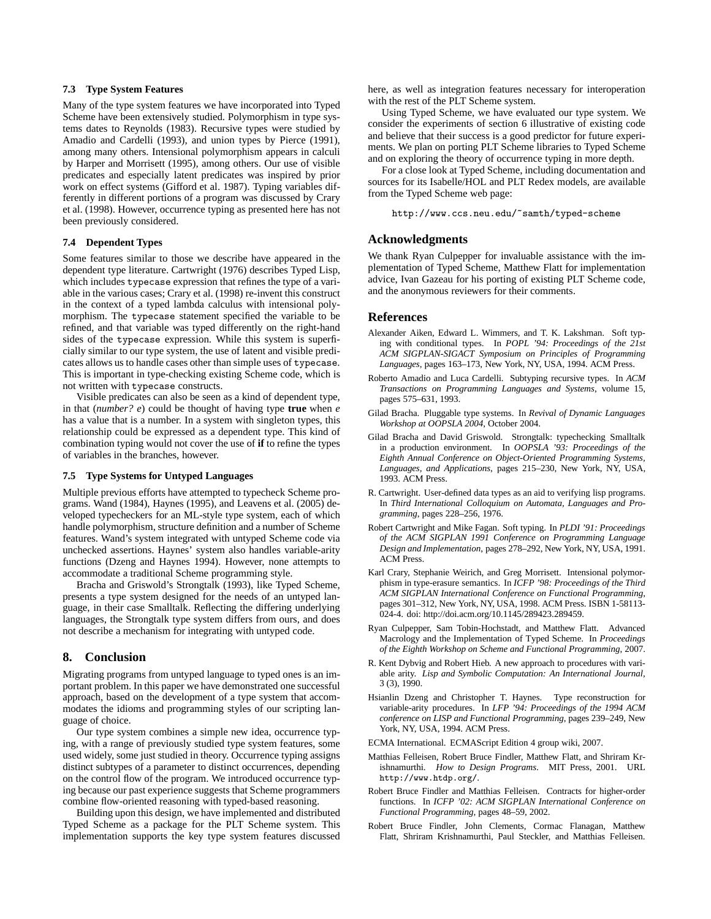#### **7.3 Type System Features**

Many of the type system features we have incorporated into Typed Scheme have been extensively studied. Polymorphism in type systems dates to Reynolds (1983). Recursive types were studied by Amadio and Cardelli (1993), and union types by Pierce (1991), among many others. Intensional polymorphism appears in calculi by Harper and Morrisett (1995), among others. Our use of visible predicates and especially latent predicates was inspired by prior work on effect systems (Gifford et al. 1987). Typing variables differently in different portions of a program was discussed by Crary et al. (1998). However, occurrence typing as presented here has not been previously considered.

#### **7.4 Dependent Types**

Some features similar to those we describe have appeared in the dependent type literature. Cartwright (1976) describes Typed Lisp, which includes typecase expression that refines the type of a variable in the various cases; Crary et al. (1998) re-invent this construct in the context of a typed lambda calculus with intensional polymorphism. The typecase statement specified the variable to be refined, and that variable was typed differently on the right-hand sides of the typecase expression. While this system is superficially similar to our type system, the use of latent and visible predicates allows us to handle cases other than simple uses of typecase. This is important in type-checking existing Scheme code, which is not written with typecase constructs.

Visible predicates can also be seen as a kind of dependent type, in that (*number? e*) could be thought of having type **true** when *e* has a value that is a number. In a system with singleton types, this relationship could be expressed as a dependent type. This kind of combination typing would not cover the use of **if** to refine the types of variables in the branches, however.

#### **7.5 Type Systems for Untyped Languages**

Multiple previous efforts have attempted to typecheck Scheme programs. Wand (1984), Haynes (1995), and Leavens et al. (2005) developed typecheckers for an ML-style type system, each of which handle polymorphism, structure definition and a number of Scheme features. Wand's system integrated with untyped Scheme code via unchecked assertions. Haynes' system also handles variable-arity functions (Dzeng and Haynes 1994). However, none attempts to accommodate a traditional Scheme programming style.

Bracha and Griswold's Strongtalk (1993), like Typed Scheme, presents a type system designed for the needs of an untyped language, in their case Smalltalk. Reflecting the differing underlying languages, the Strongtalk type system differs from ours, and does not describe a mechanism for integrating with untyped code.

#### **8. Conclusion**

Migrating programs from untyped language to typed ones is an important problem. In this paper we have demonstrated one successful approach, based on the development of a type system that accommodates the idioms and programming styles of our scripting language of choice.

Our type system combines a simple new idea, occurrence typing, with a range of previously studied type system features, some used widely, some just studied in theory. Occurrence typing assigns distinct subtypes of a parameter to distinct occurrences, depending on the control flow of the program. We introduced occurrence typing because our past experience suggests that Scheme programmers combine flow-oriented reasoning with typed-based reasoning.

Building upon this design, we have implemented and distributed Typed Scheme as a package for the PLT Scheme system. This implementation supports the key type system features discussed here, as well as integration features necessary for interoperation with the rest of the PLT Scheme system.

Using Typed Scheme, we have evaluated our type system. We consider the experiments of section 6 illustrative of existing code and believe that their success is a good predictor for future experiments. We plan on porting PLT Scheme libraries to Typed Scheme and on exploring the theory of occurrence typing in more depth.

For a close look at Typed Scheme, including documentation and sources for its Isabelle/HOL and PLT Redex models, are available from the Typed Scheme web page:

http://www.ccs.neu.edu/~samth/typed-scheme

## **Acknowledgments**

We thank Ryan Culpepper for invaluable assistance with the implementation of Typed Scheme, Matthew Flatt for implementation advice, Ivan Gazeau for his porting of existing PLT Scheme code, and the anonymous reviewers for their comments.

#### **References**

- Alexander Aiken, Edward L. Wimmers, and T. K. Lakshman. Soft typing with conditional types. In *POPL '94: Proceedings of the 21st ACM SIGPLAN-SIGACT Symposium on Principles of Programming Languages*, pages 163–173, New York, NY, USA, 1994. ACM Press.
- Roberto Amadio and Luca Cardelli. Subtyping recursive types. In *ACM Transactions on Programming Languages and Systems*, volume 15, pages 575–631, 1993.
- Gilad Bracha. Pluggable type systems. In *Revival of Dynamic Languages Workshop at OOPSLA 2004*, October 2004.
- Gilad Bracha and David Griswold. Strongtalk: typechecking Smalltalk in a production environment. In *OOPSLA '93: Proceedings of the Eighth Annual Conference on Object-Oriented Programming Systems, Languages, and Applications*, pages 215–230, New York, NY, USA, 1993. ACM Press.
- R. Cartwright. User-defined data types as an aid to verifying lisp programs. In *Third International Colloquium on Automata, Languages and Programming*, pages 228–256, 1976.
- Robert Cartwright and Mike Fagan. Soft typing. In *PLDI '91: Proceedings of the ACM SIGPLAN 1991 Conference on Programming Language Design and Implementation*, pages 278–292, New York, NY, USA, 1991. ACM Press.
- Karl Crary, Stephanie Weirich, and Greg Morrisett. Intensional polymorphism in type-erasure semantics. In *ICFP '98: Proceedings of the Third ACM SIGPLAN International Conference on Functional Programming*, pages 301–312, New York, NY, USA, 1998. ACM Press. ISBN 1-58113- 024-4. doi: http://doi.acm.org/10.1145/289423.289459.
- Ryan Culpepper, Sam Tobin-Hochstadt, and Matthew Flatt. Advanced Macrology and the Implementation of Typed Scheme. In *Proceedings of the Eighth Workshop on Scheme and Functional Programming*, 2007.
- R. Kent Dybvig and Robert Hieb. A new approach to procedures with variable arity. *Lisp and Symbolic Computation: An International Journal*, 3 (3), 1990.
- Hsianlin Dzeng and Christopher T. Haynes. Type reconstruction for variable-arity procedures. In *LFP '94: Proceedings of the 1994 ACM conference on LISP and Functional Programming*, pages 239–249, New York, NY, USA, 1994. ACM Press.
- ECMA International. ECMAScript Edition 4 group wiki, 2007.
- Matthias Felleisen, Robert Bruce Findler, Matthew Flatt, and Shriram Krishnamurthi. *How to Design Programs*. MIT Press, 2001. URL http://www.htdp.org/.
- Robert Bruce Findler and Matthias Felleisen. Contracts for higher-order functions. In *ICFP '02: ACM SIGPLAN International Conference on Functional Programming*, pages 48–59, 2002.
- Robert Bruce Findler, John Clements, Cormac Flanagan, Matthew Flatt, Shriram Krishnamurthi, Paul Steckler, and Matthias Felleisen.